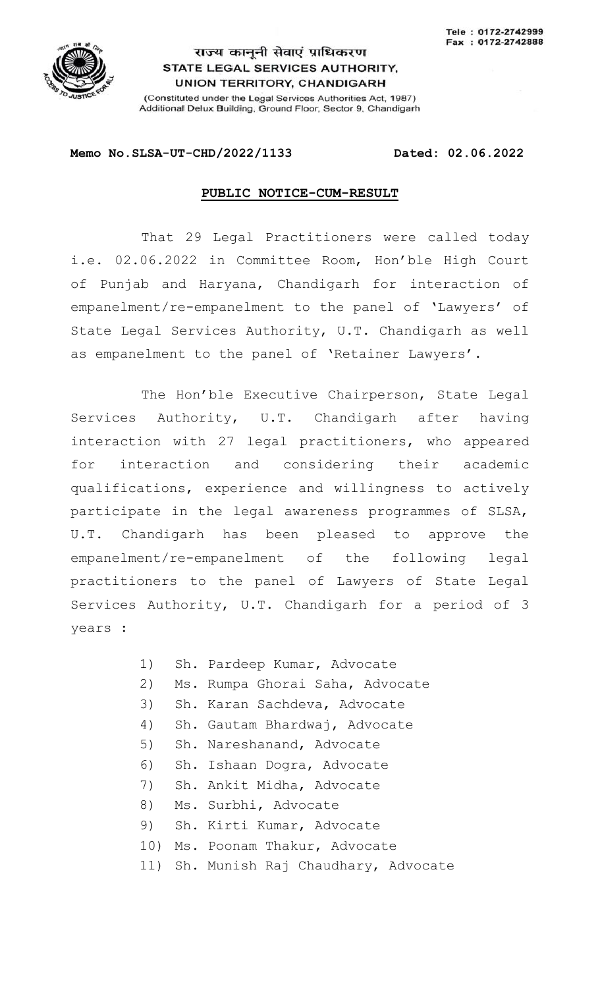

## राज्य कानूनी सेवाएं प्राधिकरण STATE LEGAL SERVICES AUTHORITY, **UNION TERRITORY, CHANDIGARH**

(Constituted under the Legal Services Authorities Act, 1987) Additional Delux Building, Ground Floor, Sector 9, Chandigarh

## **Memo No.SLSA-UT-CHD/2022/1133 Dated: 02.06.2022**

## **PUBLIC NOTICE-CUM-RESULT**

That 29 Legal Practitioners were called today i.e. 02.06.2022 in Committee Room, Hon'ble High Court of Punjab and Haryana, Chandigarh for interaction of empanelment/re-empanelment to the panel of 'Lawyers' of State Legal Services Authority, U.T. Chandigarh as well as empanelment to the panel of 'Retainer Lawyers'.

The Hon'ble Executive Chairperson, State Legal Services Authority, U.T. Chandigarh after having interaction with 27 legal practitioners, who appeared for interaction and considering their academic qualifications, experience and willingness to actively participate in the legal awareness programmes of SLSA, U.T. Chandigarh has been pleased to approve the empanelment/re-empanelment of the following legal practitioners to the panel of Lawyers of State Legal Services Authority, U.T. Chandigarh for a period of 3 years :

- 1) Sh. Pardeep Kumar, Advocate
- 2) Ms. Rumpa Ghorai Saha, Advocate
- 3) Sh. Karan Sachdeva, Advocate
- 4) Sh. Gautam Bhardwaj, Advocate
- 5) Sh. Nareshanand, Advocate
- 6) Sh. Ishaan Dogra, Advocate
- 7) Sh. Ankit Midha, Advocate
- 8) Ms. Surbhi, Advocate
- 9) Sh. Kirti Kumar, Advocate
- 10) Ms. Poonam Thakur, Advocate
- 11) Sh. Munish Raj Chaudhary, Advocate